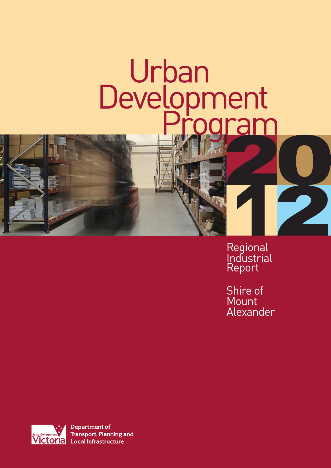# Urban<br>Development<br>Program ram

Regional **Industrial** Report

Shire of Mount Alexander



**Department of Transport, Planning and Local Infrastructure**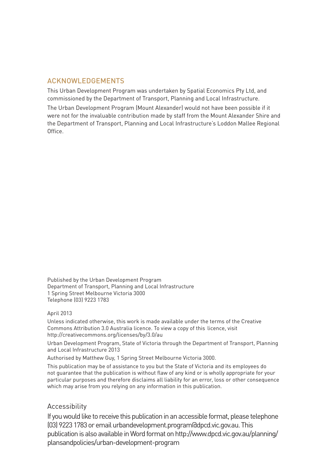## ACKNOWLEDGEMENTS

This Urban Development Program was undertaken by Spatial Economics Pty Ltd, and commissioned by the Department of Transport, Planning and Local Infrastructure. The Urban Development Program (Mount Alexander) would not have been possible if it were not for the invaluable contribution made by staff from the Mount Alexander Shire and the Department of Transport, Planning and Local Infrastructure's Loddon Mallee Regional Office.

Published by the Urban Development Program Department of Transport, Planning and Local Infrastructure 1 Spring Street Melbourne Victoria 3000 Telephone (03) 9223 1783

#### April 2013

Unless indicated otherwise, this work is made available under the terms of the Creative Commons Attribution 3.0 Australia licence. To view a copy of this licence, visit http://creativecommons.org/licenses/by/3.0/au

Urban Development Program, State of Victoria through the Department of Transport, Planning and Local Infrastructure 2013

Authorised by Matthew Guy, 1 Spring Street Melbourne Victoria 3000.

This publication may be of assistance to you but the State of Victoria and its employees do not guarantee that the publication is without flaw of any kind or is wholly appropriate for your particular purposes and therefore disclaims all liability for an error, loss or other consequence which may arise from you relying on any information in this publication.

## Accessibility

If you would like to receive this publication in an accessible format, please telephone (03) 9223 1783 or email urbandevelopment.program@dpcd.vic.gov.au.This publication is also available in Word format on http://www.dpcd.vic.gov.au/planning/ plansandpolicies/urban-development-program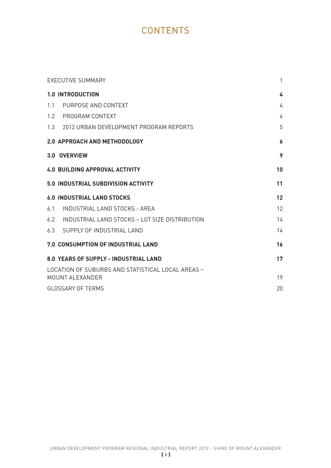# **CONTENTS**

|               | <b>EXECUTIVE SUMMARY</b>                          | $\mathbf{1}$ |
|---------------|---------------------------------------------------|--------------|
|               | <b>1.0 INTRODUCTION</b>                           | 4            |
| 1.1           | PURPOSE AND CONTEXT                               | 4            |
| $1.2^{\circ}$ | PROGRAM CONTEXT                                   | 4            |
|               | 1.3 2012 URBAN DEVELOPMENT PROGRAM REPORTS        | 5            |
|               | 2.0 APPROACH AND METHODOLOGY                      | 6            |
|               | 3.0 OVERVIEW                                      | 9            |
|               | <b>4.0 BUILDING APPROVAL ACTIVITY</b>             | 10           |
|               | <b>5.0 INDUSTRIAL SUBDIVISION ACTIVITY</b>        | 11           |
|               | <b>6.0 INDUSTRIAL LAND STOCKS</b>                 | 12           |
| 6.1           | INDUSTRIAL LAND STOCKS - AREA                     | 12           |
| 6.2           | INDUSTRIAL LAND STOCKS – LOT SIZE DISTRIBUTION    | 14           |
|               | 6.3 SUPPLY OF INDUSTRIAL LAND                     | 14           |
|               | 7.0 CONSUMPTION OF INDUSTRIAL LAND                | 16           |
|               | 8.0 YEARS OF SUPPLY - INDUSTRIAL LAND             | 17           |
|               | LOCATION OF SUBURBS AND STATISTICAL LOCAL AREAS - |              |
|               | MOUNT ALEXANDER                                   | 19           |
|               | <b>GLOSSARY OF TERMS</b>                          | 20           |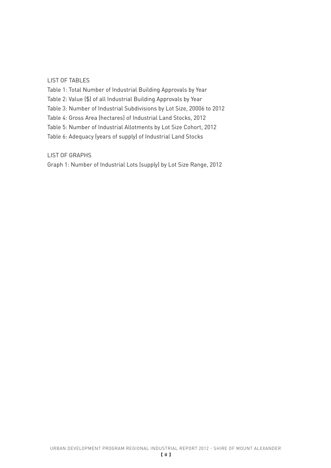#### LIST OF TABLES

Table 1: Total Number of Industrial Building Approvals by Year Table 2: Value (\$) of all Industrial Building Approvals by Year Table 3: Number of Industrial Subdivisions by Lot Size, 20006 to 2012 Table 4: Gross Area (hectares) of Industrial Land Stocks, 2012 Table 5: Number of Industrial Allotments by Lot Size Cohort, 2012 Table 6: Adequacy (years of supply) of Industrial Land Stocks

LIST OF GRAPHS

Graph 1: Number of Industrial Lots (supply) by Lot Size Range, 2012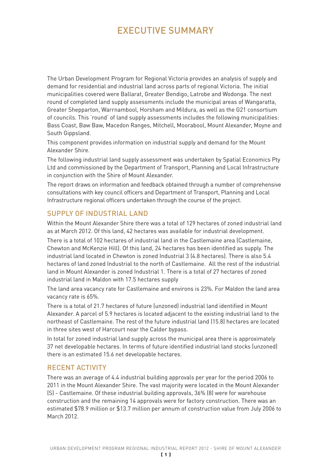# EXECUTIVE SUMMARY

The Urban Development Program for Regional Victoria provides an analysis of supply and demand for residential and industrial land across parts of regional Victoria. The initial municipalities covered were Ballarat, Greater Bendigo, Latrobe and Wodonga. The next round of completed land supply assessments include the municipal areas of Wangaratta, Greater Shepparton, Warrnambool, Horsham and Mildura, as well as the G21 consortium of councils. This 'round' of land supply assessments includes the following municipalities: Bass Coast, Baw Baw, Macedon Ranges, Mitchell, Moorabool, Mount Alexander, Moyne and South Gippsland.

This component provides information on industrial supply and demand for the Mount Alexander Shire.

The following industrial land supply assessment was undertaken by Spatial Economics Pty Ltd and commissioned by the Department of Transport, Planning and Local Infrastructure in conjunction with the Shire of Mount Alexander.

The report draws on information and feedback obtained through a number of comprehensive consultations with key council officers and Department of Transport, Planning and Local Infrastructure regional officers undertaken through the course of the project.

## SUPPLY OF INDUSTRIAL LAND

Within the Mount Alexander Shire there was a total of 129 hectares of zoned industrial land as at March 2012. Of this land, 42 hectares was available for industrial development.

There is a total of 102 hectares of industrial land in the Castlemaine area (Castlemaine, Chewton and McKenzie Hill). Of this land, 24 hectares has been identified as supply. The industrial land located in Chewton is zoned Industrial 3 (4.8 hectares). There is also 5.4 hectares of land zoned Industrial to the north of Castlemaine. All the rest of the industrial land in Mount Alexander is zoned Industrial 1. There is a total of 27 hectares of zoned industrial land in Maldon with 17.5 hectares supply

The land area vacancy rate for Castlemaine and environs is 23%. For Maldon the land area vacancy rate is 65%.

There is a total of 21.7 hectares of future (unzoned) industrial land identified in Mount Alexander. A parcel of 5.9 hectares is located adjacent to the existing industrial land to the northeast of Castlemaine. The rest of the future industrial land (15.8) hectares are located in three sites west of Harcourt near the Calder bypass.

In total for zoned industrial land supply across the municipal area there is approximately 37 net developable hectares. In terms of future identified industrial land stocks (unzoned) there is an estimated 15.6 net developable hectares.

## RECENT ACTIVITY

There was an average of 4.4 industrial building approvals per year for the period 2006 to 2011 in the Mount Alexander Shire. The vast majority were located in the Mount Alexander (S) - Castlemaine. Of these industrial building approvals, 36% (8) were for warehouse construction and the remaining 14 approvals were for factory construction. There was an estimated \$78.9 million or \$13.7 million per annum of construction value from July 2006 to March 2012.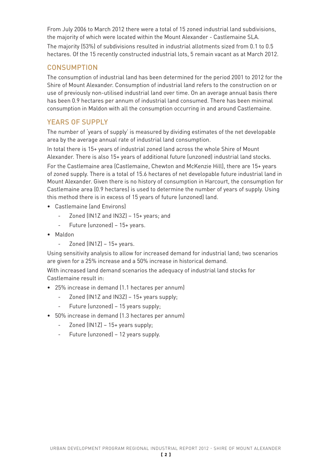From July 2006 to March 2012 there were a total of 15 zoned industrial land subdivisions, the majority of which were located within the Mount Alexander - Castlemaine SLA. The majority (53%) of subdivisions resulted in industrial allotments sized from 0.1 to 0.5 hectares. Of the 15 recently constructed industrial lots, 5 remain vacant as at March 2012.

### **CONSUMPTION**

The consumption of industrial land has been determined for the period 2001 to 2012 for the Shire of Mount Alexander. Consumption of industrial land refers to the construction on or use of previously non-utilised industrial land over time. On an average annual basis there has been 0.9 hectares per annum of industrial land consumed. There has been minimal consumption in Maldon with all the consumption occurring in and around Castlemaine.

# YEARS OF SUPPLY

The number of 'years of supply' is measured by dividing estimates of the net developable area by the average annual rate of industrial land consumption.

In total there is 15+ years of industrial zoned land across the whole Shire of Mount Alexander. There is also 15+ years of additional future (unzoned) industrial land stocks.

For the Castlemaine area (Castlemaine, Chewton and McKenzie Hill), there are 15+ years of zoned supply. There is a total of 15.6 hectares of net developable future industrial land in Mount Alexander. Given there is no history of consumption in Harcourt, the consumption for Castlemaine area (0.9 hectares) is used to determine the number of years of supply. Using this method there is in excess of 15 years of future (unzoned) land.

- • Castlemaine (and Environs)
	- Zoned (IN1Z and IN3Z) 15+ years; and
	- Future (unzoned) 15+ years.
- • Maldon
	- Zoned  $(IN1Z) 15+ \gamma$ ears.

Using sensitivity analysis to allow for increased demand for industrial land; two scenarios are given for a 25% increase and a 50% increase in historical demand.

With increased land demand scenarios the adequacy of industrial land stocks for Castlemaine result in:

- • 25% increase in demand (1.1 hectares per annum)
	- Zoned (IN1Z and IN3Z) 15+ years supply;
	- Future (unzoned) 15 years supply;
- • 50% increase in demand (1.3 hectares per annum)
	- Zoned (IN1Z) 15+ years supply;
	- Future (unzoned) 12 years supply.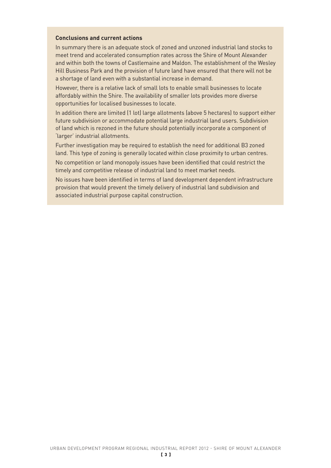#### **Conclusions and current actions**

In summary there is an adequate stock of zoned and unzoned industrial land stocks to meet trend and accelerated consumption rates across the Shire of Mount Alexander and within both the towns of Castlemaine and Maldon. The establishment of the Wesley Hill Business Park and the provision of future land have ensured that there will not be a shortage of land even with a substantial increase in demand.

However, there is a relative lack of small lots to enable small businesses to locate affordably within the Shire. The availability of smaller lots provides more diverse opportunities for localised businesses to locate.

In addition there are limited (1 lot) large allotments (above 5 hectares) to support either future subdivision or accommodate potential large industrial land users. Subdivision of land which is rezoned in the future should potentially incorporate a component of 'larger' industrial allotments.

Further investigation may be required to establish the need for additional B3 zoned land. This type of zoning is generally located within close proximity to urban centres.

No competition or land monopoly issues have been identified that could restrict the timely and competitive release of industrial land to meet market needs.

No issues have been identified in terms of land development dependent infrastructure provision that would prevent the timely delivery of industrial land subdivision and associated industrial purpose capital construction.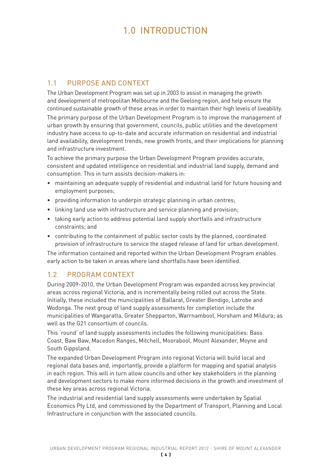# 1.0 INTRODUCTION

# 1.1 PURPOSE AND CONTEXT

The Urban Development Program was set up in 2003 to assist in managing the growth and development of metropolitan Melbourne and the Geelong region, and help ensure the continued sustainable growth of these areas in order to maintain their high levels of liveability.

The primary purpose of the Urban Development Program is to improve the management of urban growth by ensuring that government, councils, public utilities and the development industry have access to up-to-date and accurate information on residential and industrial land availability, development trends, new growth fronts, and their implications for planning and infrastructure investment.

To achieve the primary purpose the Urban Development Program provides accurate, consistent and updated intelligence on residential and industrial land supply, demand and consumption. This in turn assists decision-makers in:

- maintaining an adequate supply of residential and industrial land for future housing and employment purposes;
- providing information to underpin strategic planning in urban centres;
- linking land use with infrastructure and service planning and provision;
- taking early action to address potential land supply shortfalls and infrastructure constraints; and
- contributing to the containment of public sector costs by the planned, coordinated provision of infrastructure to service the staged release of land for urban development.

The information contained and reported within the Urban Development Program enables early action to be taken in areas where land shortfalls have been identified.

# 1.2 PROGRAM CONTEXT

During 2009-2010, the Urban Development Program was expanded across key provincial areas across regional Victoria, and is incrementally being rolled out across the State. Initially, these included the municipalities of Ballarat, Greater Bendigo, Latrobe and Wodonga. The next group of land supply assessments for completion include the municipalities of Wangaratta, Greater Shepparton, Warrnambool, Horsham and Mildura; as well as the G21 consortium of councils.

This 'round' of land supply assessments includes the following municipalities: Bass Coast, Baw Baw, Macedon Ranges, Mitchell, Moorabool, Mount Alexander, Moyne and South Gippsland.

The expanded Urban Development Program into regional Victoria will build local and regional data bases and, importantly, provide a platform for mapping and spatial analysis in each region. This will in turn allow councils and other key stakeholders in the planning and development sectors to make more informed decisions in the growth and investment of these key areas across regional Victoria.

The industrial and residential land supply assessments were undertaken by Spatial Economics Pty Ltd, and commissioned by the Department of Transport, Planning and Local Infrastructure in conjunction with the associated councils.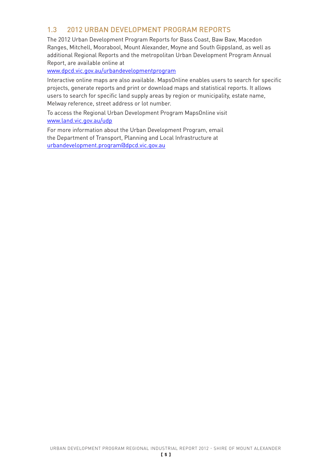## 1.3 2012 URBAN DEVELOPMENT PROGRAM REPORTS

The 2012 Urban Development Program Reports for Bass Coast, Baw Baw, Macedon Ranges, Mitchell, Moorabool, Mount Alexander, Moyne and South Gippsland, as well as additional Regional Reports and the metropolitan Urban Development Program Annual Report, are available online at

www.dpcd.vic.gov.au/urbandevelopmentprogram

Interactive online maps are also available. MapsOnline enables users to search for specific projects, generate reports and print or download maps and statistical reports. It allows users to search for specific land supply areas by region or municipality, estate name, Melway reference, street address or lot number.

To access the Regional Urban Development Program MapsOnline visit www.land.vic.gov.au/udp

For more information about the Urban Development Program, email the Department of Transport, Planning and Local Infrastructure at urbandevelopment.program@dpcd.vic.gov.au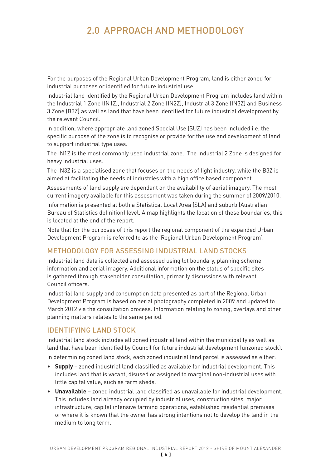# 2.0 APPROACH AND METHODOLOGY

For the purposes of the Regional Urban Development Program, land is either zoned for industrial purposes or identified for future industrial use.

Industrial land identified by the Regional Urban Development Program includes land within the Industrial 1 Zone (IN1Z), Industrial 2 Zone (IN2Z), Industrial 3 Zone (IN3Z) and Business 3 Zone (B3Z) as well as land that have been identified for future industrial development by the relevant Council.

In addition, where appropriate land zoned Special Use (SUZ) has been included i.e. the specific purpose of the zone is to recognise or provide for the use and development of land to support industrial type uses.

The IN1Z is the most commonly used industrial zone. The Industrial 2 Zone is designed for heavy industrial uses.

The IN3Z is a specialised zone that focuses on the needs of light industry, while the B3Z is aimed at facilitating the needs of industries with a high office based component.

Assessments of land supply are dependant on the availability of aerial imagery. The most current imagery available for this assessment was taken during the summer of 2009/2010.

Information is presented at both a Statistical Local Area (SLA) and suburb (Australian Bureau of Statistics definition) level. A map highlights the location of these boundaries, this is located at the end of the report.

Note that for the purposes of this report the regional component of the expanded Urban Development Program is referred to as the 'Regional Urban Development Program'.

# METHODOLOGY FOR ASSESSING INDUSTRIAL LAND STOCKS

Industrial land data is collected and assessed using lot boundary, planning scheme information and aerial imagery. Additional information on the status of specific sites is gathered through stakeholder consultation, primarily discussions with relevant Council officers.

Industrial land supply and consumption data presented as part of the Regional Urban Development Program is based on aerial photography completed in 2009 and updated to March 2012 via the consultation process. Information relating to zoning, overlays and other planning matters relates to the same period.

## IDENTIFYING LAND STOCK

Industrial land stock includes all zoned industrial land within the municipality as well as land that have been identified by Council for future industrial development (unzoned stock).

In determining zoned land stock, each zoned industrial land parcel is assessed as either:

- • **Supply**  zoned industrial land classified as available for industrial development. This includes land that is vacant, disused or assigned to marginal non-industrial uses with little capital value, such as farm sheds.
- • **Unavailable** zoned industrial land classified as unavailable for industrial development. This includes land already occupied by industrial uses, construction sites, major infrastructure, capital intensive farming operations, established residential premises or where it is known that the owner has strong intentions not to develop the land in the medium to long term.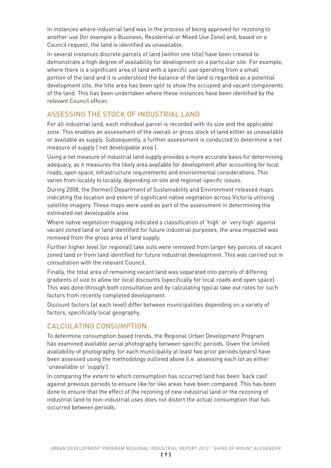In instances where industrial land was in the process of being approved for rezoning to another use (for example a Business, Residential or Mixed Use Zone) and, based on a Council request, the land is identified as unavailable.

In several instances discrete parcels of land (within one title) have been created to demonstrate a high degree of availability for development on a particular site. For example, where there is a significant area of land with a specific use operating from a small portion of the land and it is understood the balance of the land is regarded as a potential development site, the title area has been split to show the occupied and vacant components of the land. This has been undertaken where these instances have been identified by the relevant Council officer.

# ASSESSING THE STOCK OF INDUSTRIAL LAND

For all industrial land, each individual parcel is recorded with its size and the applicable zone. This enables an assessment of the overall or gross stock of land either as unavailable or available as supply. Subsequently, a further assessment is conducted to determine a net measure of supply ('net developable area').

Using a net measure of industrial land supply provides a more accurate basis for determining adequacy, as it measures the likely area available for development after accounting for local roads, open space, infrastructure requirements and environmental considerations. This varies from locality to locality, depending on site and regional-specific issues.

During 2008, the (former) Department of Sustainability and Environment released maps indicating the location and extent of significant native vegetation across Victoria utilising satellite imagery. These maps were used as part of the assessment in determining the estimated net developable area.

Where native vegetation mapping indicated a classification of 'high' or 'very high' against vacant zoned land or land identified for future industrial purposes, the area impacted was removed from the gross area of land supply.

Further higher level (or regional) take outs were removed from larger key parcels of vacant zoned land or from land identified for future industrial development. This was carried out in consultation with the relevant Council.

Finally, the total area of remaining vacant land was separated into parcels of differing gradients of size to allow for local discounts (specifically for local roads and open space). This was done through both consultation and by calculating typical take out rates for such factors from recently completed development.

Discount factors (at each level) differ between municipalities depending on a variety of factors, specifically local geography.

#### CALCULATING CONSUMPTION

To determine consumption based trends, the Regional Urban Development Program has examined available aerial photography between specific periods. Given the limited availability of photography, for each municipality at least two prior periods (years) have been assessed using the methodology outlined above (i.e. assessing each lot as either 'unavailable or 'supply').

In comparing the extent to which consumption has occurred land has been 'back cast' against previous periods to ensure like for like areas have been compared. This has been done to ensure that the effect of the rezoning of new industrial land or the rezoning of industrial land to non-industrial uses does not distort the actual consumption that has occurred between periods.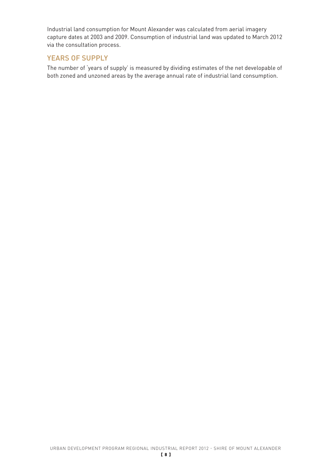Industrial land consumption for Mount Alexander was calculated from aerial imagery capture dates at 2003 and 2009. Consumption of industrial land was updated to March 2012 via the consultation process.

## YEARS OF SUPPLY

The number of 'years of supply' is measured by dividing estimates of the net developable of both zoned and unzoned areas by the average annual rate of industrial land consumption.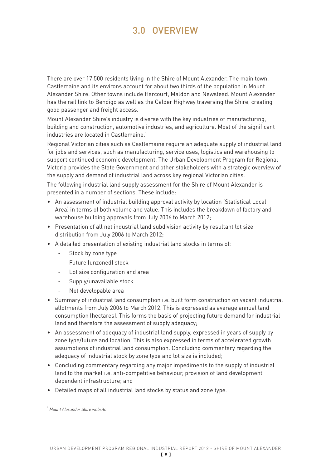# 3.0 OVERVIEW

There are over 17,500 residents living in the Shire of Mount Alexander. The main town, Castlemaine and its environs account for about two thirds of the population in Mount Alexander Shire. Other towns include Harcourt, Maldon and Newstead. Mount Alexander has the rail link to Bendigo as well as the Calder Highway traversing the Shire, creating good passenger and freight access.

Mount Alexander Shire's industry is diverse with the key industries of manufacturing, building and construction, automotive industries, and agriculture. Most of the significant industries are located in Castlemaine.<sup>1</sup>

Regional Victorian cities such as Castlemaine require an adequate supply of industrial land for jobs and services, such as manufacturing, service uses, logistics and warehousing to support continued economic development. The Urban Development Program for Regional Victoria provides the State Government and other stakeholders with a strategic overview of the supply and demand of industrial land across key regional Victorian cities.

The following industrial land supply assessment for the Shire of Mount Alexander is presented in a number of sections. These include:

- An assessment of industrial building approval activity by location (Statistical Local Area) in terms of both volume and value. This includes the breakdown of factory and warehouse building approvals from July 2006 to March 2012;
- Presentation of all net industrial land subdivision activity by resultant lot size distribution from July 2006 to March 2012;
- A detailed presentation of existing industrial land stocks in terms of:
	- Stock by zone type
	- Future (unzoned) stock
	- Lot size configuration and area
	- Supply/unavailable stock
	- Net developable area
- • Summary of industrial land consumption i.e. built form construction on vacant industrial allotments from July 2006 to March 2012. This is expressed as average annual land consumption (hectares). This forms the basis of projecting future demand for industrial land and therefore the assessment of supply adequacy;
- • An assessment of adequacy of industrial land supply, expressed in years of supply by zone type/future and location. This is also expressed in terms of accelerated growth assumptions of industrial land consumption. Concluding commentary regarding the adequacy of industrial stock by zone type and lot size is included:
- Concluding commentary regarding any major impediments to the supply of industrial land to the market i.e. anti-competitive behaviour, provision of land development dependent infrastructure; and
- Detailed maps of all industrial land stocks by status and zone type.

*<sup>1</sup> Mount Alexander Shire website*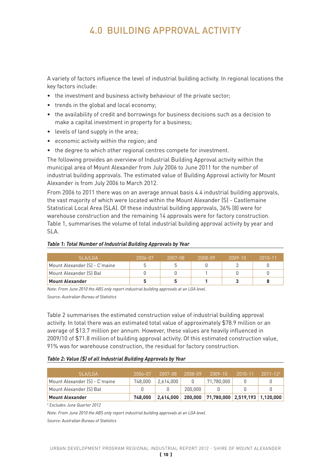# 4.0 BUILDING APPROVAL ACTIVITY

A variety of factors influence the level of industrial building activity. In regional locations the key factors include:

- the investment and business activity behaviour of the private sector;
- trends in the global and local economy;
- the availability of credit and borrowings for business decisions such as a decision to make a capital investment in property for a business;
- levels of land supply in the area;
- • economic activity within the region; and
- the degree to which other regional centres compete for investment.

The following provides an overview of Industrial Building Approval activity within the municipal area of Mount Alexander from July 2006 to June 2011 for the number of industrial building approvals. The estimated value of Building Approval activity for Mount Alexander is from July 2006 to March 2012.

From 2006 to 2011 there was on an average annual basis 4.4 industrial building approvals, the vast majority of which were located within the Mount Alexander (S) - Castlemaine Statistical Local Area (SLA). Of these industrial building approvals, 36% (8) were for warehouse construction and the remaining 14 approvals were for factory construction. Table 1, summarises the volume of total industrial building approval activity by year and SLA.

#### *Table 1: Total Number of Industrial Building Approvals by Year*

| SLA/LGA                       | 2006-07 | 2007-08 | 2008-09 | $2009 - 10$ | $2010 - 11$ |
|-------------------------------|---------|---------|---------|-------------|-------------|
| Mount Alexander (S) - C'maine |         |         |         |             |             |
| Mount Alexander (S) Bal       |         |         |         |             |             |
| <b>Mount Alexander</b>        |         |         |         |             |             |

*Note: From June 2010 the ABS only report industrial building approvals at an LGA level. Source: Australian Bureau of Statistics*

Table 2 summarises the estimated construction value of industrial building approval activity. In total there was an estimated total value of approximately \$78.9 million or an average of \$13.7 million per annum. However, these values are heavily influenced in 2009/10 of \$71.8 million of building approval activity. Of this estimated construction value, 91% was for warehouse construction, the residual for factory construction.

#### *Table 2: Value (\$) of all Industrial Building Approvals by Year*

| SLA/LGA                       | 2006-07 | 2007-08 2008-09 |         | $2009 - 10$ $2010 - 11$ $2011 - 12^2$            |  |
|-------------------------------|---------|-----------------|---------|--------------------------------------------------|--|
| Mount Alexander (S) - C'maine | 748.000 | 2.614.000       | 0       | 71.780.000                                       |  |
| Mount Alexander (S) Bal       |         |                 | 200.000 |                                                  |  |
| <b>Mount Alexander</b>        | 748.000 |                 |         | 2,614,000 200,000 71,780,000 2,519,193 1,120,000 |  |

*2 Excludes June Quarter 2012*

*Note: From June 2010 the ABS only report industrial building approvals at an LGA level.*

*Source: Australian Bureau of Statistics*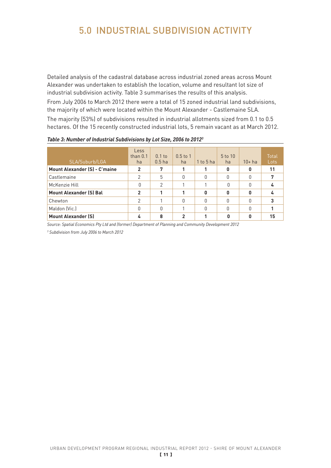# 5.0 INDUSTRIAL SUBDIVISION ACTIVITY

Detailed analysis of the cadastral database across industrial zoned areas across Mount Alexander was undertaken to establish the location, volume and resultant lot size of industrial subdivision activity. Table 3 summarises the results of this analysis.

From July 2006 to March 2012 there were a total of 15 zoned industrial land subdivisions, the majority of which were located within the Mount Alexander - Castlemaine SLA. The majority (53%) of subdivisions resulted in industrial allotments sized from 0.1 to 0.5 hectares. Of the 15 recently constructed industrial lots, 5 remain vacant as at March 2012.

| SLA/Suburb/LGA                       | <b>Less</b><br>than $0.1$<br>ha | $0.1$ to<br>0.5 <sub>ha</sub> | $0.5$ to 1<br>ha | $1$ to $5$ ha | 5 to 10<br>ha | $10+$ ha | <b>Total</b><br>Lots |
|--------------------------------------|---------------------------------|-------------------------------|------------------|---------------|---------------|----------|----------------------|
| <b>Mount Alexander (S) - C'maine</b> | 2                               | 7                             |                  |               | 0             | 0        | 11                   |
| Castlemaine                          | 2                               | 5                             | O                | 0             | O             | O        | 7                    |
| McKenzie Hill                        | O                               | 2                             |                  |               | O             | 0        |                      |
| <b>Mount Alexander (S) Bal</b>       | 2                               |                               |                  | 0             | ŋ             | Ω        |                      |
| Chewton                              | 2                               |                               | O                | 0             | O             | O        | 3                    |
| Maldon (Vic.)                        | O                               | O                             |                  | O             | O             | O        |                      |
| <b>Mount Alexander (S)</b>           |                                 | 8                             |                  |               |               |          | 15                   |

*Table 3: Number of Industrial Subdivisions by Lot Size, 2006 to 20123*

*Source: Spatial Economics Pty Ltd and (former) Department of Planning and Community Development 2012*

*3 Subdivision from July 2006 to March 2012*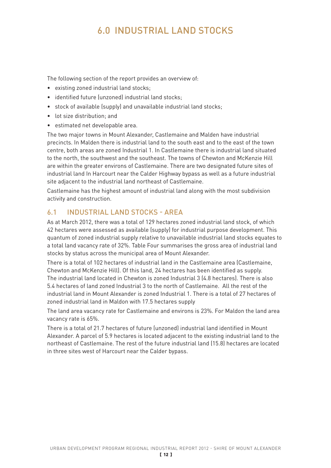# 6.0 INDUSTRIAL LAND STOCKS

The following section of the report provides an overview of:

- • existing zoned industrial land stocks;
- identified future (unzoned) industrial land stocks;
- stock of available (supply) and unavailable industrial land stocks;
- • lot size distribution; and
- • estimated net developable area.

The two major towns in Mount Alexander, Castlemaine and Malden have industrial precincts. In Malden there is industrial land to the south east and to the east of the town centre, both areas are zoned Industrial 1. In Castlemaine there is industrial land situated to the north, the southwest and the southeast. The towns of Chewton and McKenzie Hill are within the greater environs of Castlemaine. There are two designated future sites of industrial land In Harcourt near the Calder Highway bypass as well as a future industrial site adjacent to the industrial land northeast of Castlemaine.

Castlemaine has the highest amount of industrial land along with the most subdivision activity and construction.

## 6.1 INDUSTRIAL LAND STOCKS - AREA

As at March 2012, there was a total of 129 hectares zoned industrial land stock, of which 42 hectares were assessed as available (supply) for industrial purpose development. This quantum of zoned industrial supply relative to unavailable industrial land stocks equates to a total land vacancy rate of 32%. Table Four summarises the gross area of industrial land stocks by status across the municipal area of Mount Alexander.

There is a total of 102 hectares of industrial land in the Castlemaine area (Castlemaine, Chewton and McKenzie Hill). Of this land, 24 hectares has been identified as supply. The industrial land located in Chewton is zoned Industrial 3 (4.8 hectares). There is also 5.4 hectares of land zoned Industrial 3 to the north of Castlemaine. All the rest of the industrial land in Mount Alexander is zoned Industrial 1. There is a total of 27 hectares of zoned industrial land in Maldon with 17.5 hectares supply

The land area vacancy rate for Castlemaine and environs is 23%. For Maldon the land area vacancy rate is 65%.

There is a total of 21.7 hectares of future (unzoned) industrial land identified in Mount Alexander. A parcel of 5.9 hectares is located adjacent to the existing industrial land to the northeast of Castlemaine. The rest of the future industrial land (15.8) hectares are located in three sites west of Harcourt near the Calder bypass.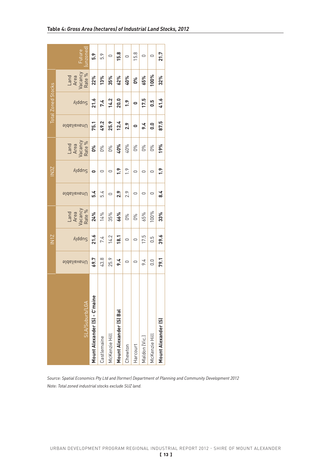|                           | Future<br>unzone                                                                                                                                                                                                                                                                   | 5.9                           | 5.9         |                    | ់<br><mark>  ត្ម  </mark> ១  ឆ្ម |               |               | $\circ \circ$                     |                       | $\overline{21.7}$   |
|---------------------------|------------------------------------------------------------------------------------------------------------------------------------------------------------------------------------------------------------------------------------------------------------------------------------|-------------------------------|-------------|--------------------|----------------------------------|---------------|---------------|-----------------------------------|-----------------------|---------------------|
|                           | Land<br>Area<br>Vacancy<br>Rate %<br>22%<br>13%                                                                                                                                                                                                                                    |                               |             |                    | 35%<br>62%                       |               |               | $rac{40%}{0%}$<br>$rac{65%}{65%}$ |                       | 32%                 |
| <b>Total Zoned Stocks</b> | $\Lambda$ ddn $\varsigma$                                                                                                                                                                                                                                                          | 21.6                          | 7.4         | 14.2               | 20.0                             | 1.9           | $\circ$       | <u>17.5</u>                       | 0.5                   | 41.6                |
|                           | <b>Unavailable</b>                                                                                                                                                                                                                                                                 | 75.1                          |             | $49.2$<br>$25.9$   | 12.4                             | 2.9           | $\bullet$     | 9.4                               | 0.0                   | 87.5                |
|                           | Land<br>Area<br>Area<br>Area<br>Area<br>$\frac{8}{6}$<br>$\frac{8}{6}$<br>$\frac{8}{6}$<br>$\frac{8}{6}$<br>$\frac{1}{6}$<br>$\frac{1}{6}$<br>$\frac{1}{6}$<br>$\frac{1}{6}$<br>$\frac{1}{6}$<br>$\frac{1}{6}$<br>$\frac{1}{6}$<br>$\frac{1}{6}$<br>$\frac{1}{6}$<br>$\frac{1}{6}$ |                               |             |                    |                                  |               |               | 0%                                | <b>D</b> <sup>8</sup> | 19%                 |
| $\frac{25}{2}$            | <b>Addns</b>                                                                                                                                                                                                                                                                       | $\bullet$                     | $\circ$     | $\circ$            | 1.9                              | $\frac{9}{2}$ | $\circ$       | $\circ$                           | $\cup$                | $\ddot{.}$          |
|                           | <b>Unavailable</b>                                                                                                                                                                                                                                                                 | 5.4                           | 5.4         | $\circ$            | 2.9                              | 2.9           | $\cup$        |                                   |                       | 8.4                 |
|                           | Land<br>Area<br>Vacancy<br>Rate %<br>24%<br>14%<br>135%                                                                                                                                                                                                                            |                               |             |                    | 66%                              | $\frac{8}{9}$ |               | 65%                               | 100%                  | 33%                 |
| $\frac{1}{2}$             | <b>Anddns</b>                                                                                                                                                                                                                                                                      | 21.6                          |             | $\frac{7.4}{14.2}$ |                                  | $\circ$       | $\circ$       | 17.5                              | 0.5                   | 39.6                |
|                           | Unavailable                                                                                                                                                                                                                                                                        | 69.7                          | 43.8        | 25.9               | 9.4                              | $\circ$       | $\vert \circ$ | 9.4                               | 0.0                   | 79.1                |
|                           | <b>SLA/Suburb/LGA</b>                                                                                                                                                                                                                                                              | Mount Alexander (S) - C'maine | Castlemaine | McKenzie Hill      | Mount Alexander (S) Bal          | Chewton       | Harcourt      | Maldon (Vic.)                     | McKenzie Hill         | Mount Alexander (S) |

*Source: Spatial Economics Pty Ltd and (former) Department of Planning and Community Development 2012 Note: Total zoned industrial stocks exclude SUZ land.*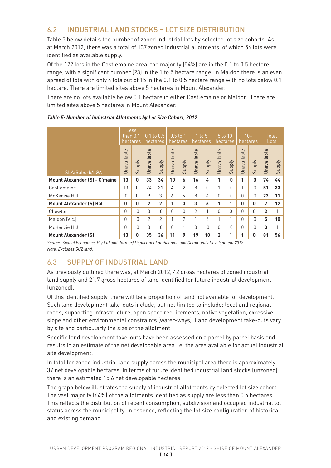# 6.2 INDUSTRIAL LAND STOCKS – LOT SIZE DISTRIBUTION

Table 5 below details the number of zoned industrial lots by selected lot size cohorts. As at March 2012, there was a total of 137 zoned industrial allotments, of which 56 lots were identified as available supply.

Of the 122 lots in the Castlemaine area, the majority (54%) are in the 0.1 to 0.5 hectare range, with a significant number (23) in the 1 to 5 hectare range. In Maldon there is an even spread of lots with only 4 lots out of 15 in the 0.1 to 0.5 hectare range with no lots below 0.1 hectare. There are limited sites above 5 hectares in Mount Alexander.

There are no lots available below 0.1 hectare in either Castlemaine or Maldon. There are limited sites above 5 hectares in Mount Alexander.

|                                      |                    | Less<br>than 0.1<br>hectares |                    | $0.1$ to $0.5$<br>hectares |             | $0.5$ to 1,<br>hectares |               | $1$ to $5$<br>hectares         |                | 5t010<br>hectares |             | $10+$<br>hectares        |                | Total<br>Lots            |  |
|--------------------------------------|--------------------|------------------------------|--------------------|----------------------------|-------------|-------------------------|---------------|--------------------------------|----------------|-------------------|-------------|--------------------------|----------------|--------------------------|--|
| SLA/Suburb/LGA                       | <b>Unavailable</b> | ply<br>Sup                   | <b>Unavailable</b> | <b>Addns</b>               | Unavailable | Supply                  | Unavailable   | ply<br>$rac{1}{2}$<br>$\Omega$ | Unavailable    | Supply            | Unavailable | <b>Ajddn</b><br>$\Omega$ | Unavailable    | <b>Ajddn</b><br>$\Omega$ |  |
| <b>Mount Alexander (S) - C'maine</b> | 13                 | $\mathbf{0}$                 | 33                 | 34                         | 10          | 6                       | 16            | 4                              | 1              | 0                 | 1           | $\mathbf{0}$             | 74             | 44                       |  |
| Castlemaine                          | 13                 | 0                            | 24                 | 31                         | 4           | 2                       | 8             | $\Omega$                       | 1              | O                 | 1           | $\Omega$                 | 51             | 33                       |  |
| McKenzie Hill                        | $\Omega$           | 0                            | 9                  | 3                          | 6           | 4                       | 8             | 4                              | $\Omega$       | $\Omega$          | $\Omega$    | $\Omega$                 | 23             | 11                       |  |
| <b>Mount Alexander (S) Bal</b>       | $\mathbf{0}$       | 0                            | $\overline{2}$     | $\overline{2}$             | 1           | 3                       | 3             | 6                              | 1              | 1                 | 0           | 0                        | 7              | 12                       |  |
| Chewton                              | $\bigcap$          | $\Omega$                     | 0                  | $\Omega$                   | O           | $\Omega$                | $\mathcal{P}$ | 1                              | $\Omega$       | $\Omega$          | $\Omega$    | $\Omega$                 | $\overline{2}$ | 1                        |  |
| Maldon (Vic.)                        | $\Omega$           | $\mathbf{0}$                 | $\overline{2}$     | 2                          | 1           | $\overline{2}$          | 1             | 5                              | 1              | 1                 | $\Omega$    | $\Omega$                 | 5              | 10                       |  |
| McKenzie Hill                        | $\bigcap$          | $\Omega$                     | 0                  | O                          | O           | 1                       | O             | $\Omega$                       | $\mathbf{0}$   | 0                 | 0           | $\Omega$                 | 0              | 1                        |  |
| <b>Mount Alexander (S)</b>           | 13                 | 0                            | 35                 | 36                         | 11          | 9                       | 19            | 10                             | $\overline{2}$ | 1                 | 1           | 0                        | 81             | 56                       |  |

#### *Table 5: Number of Industrial Allotments by Lot Size Cohort, 2012*

*Source: Spatial Economics Pty Ltd and (former) Department of Planning and Community Development 2012 Note: Excludes SUZ land.*

# 6.3 SUPPLY OF INDUSTRIAL LAND

As previously outlined there was, at March 2012, 42 gross hectares of zoned industrial land supply and 21.7 gross hectares of land identified for future industrial development (unzoned).

Of this identified supply, there will be a proportion of land not available for development. Such land development take-outs include, but not limited to include: local and regional roads, supporting infrastructure, open space requirements, native vegetation, excessive slope and other environmental constraints (water-ways). Land development take-outs vary by site and particularly the size of the allotment

Specific land development take-outs have been assessed on a parcel by parcel basis and results in an estimate of the net developable area i.e. the area available for actual industrial site development.

In total for zoned industrial land supply across the municipal area there is approximately 37 net developable hectares. In terms of future identified industrial land stocks (unzoned) there is an estimated 15.6 net developable hectares.

The graph below illustrates the supply of industrial allotments by selected lot size cohort. The vast majority (64%) of the allotments identified as supply are less than 0.5 hectares. This reflects the distribution of recent consumption, subdivision and occupied industrial lot status across the municipality. In essence, reflecting the lot size configuration of historical and existing demand.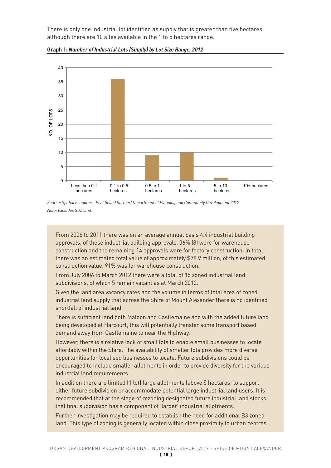There is only one industrial lot identified as supply that is greater than five hectares, although there are 10 sites available in the 1 to 5 hectares range.



**Graph 1***: Number of Industrial Lots (Supply) by Lot Size Range, 2012*

*Source: Spatial Economics Pty Ltd and (former) Department of Planning and Community Development 2012 Note: Excludes SUZ land.*

From 2006 to 2011 there was on an average annual basis 4.4 industrial building approvals, of these industrial building approvals, 36% (8) were for warehouse construction and the remaining 14 approvals were for factory construction. In total there was an estimated total value of approximately \$78.9 million, of this estimated construction value, 91% was for warehouse construction.

From July 2006 to March 2012 there were a total of 15 zoned industrial land subdivisions, of which 5 remain vacant as at March 2012.

Given the land area vacancy rates and the volume in terms of total area of zoned industrial land supply that across the Shire of Mount Alexander there is no identified shortfall of industrial land.

There is sufficient land both Maldon and Castlemaine and with the added future land being developed at Harcourt, this will potentially transfer some transport based demand away from Castlemaine to near the Highway.

However, there is a relative lack of small lots to enable small businesses to locate affordably within the Shire. The availability of smaller lots provides more diverse opportunities for localised businesses to locate. Future subdivisions could be encouraged to include smaller allotments in order to provide diversity for the various industrial land requirements.

In addition there are limited (1 lot) large allotments (above 5 hectares) to support either future subdivision or accommodate potential large industrial land users. It is recommended that at the stage of rezoning designated future industrial land stocks that final subdivision has a component of 'larger' industrial allotments.

Further investigation may be required to establish the need for additional B3 zoned land. This type of zoning is generally located within close proximity to urban centres.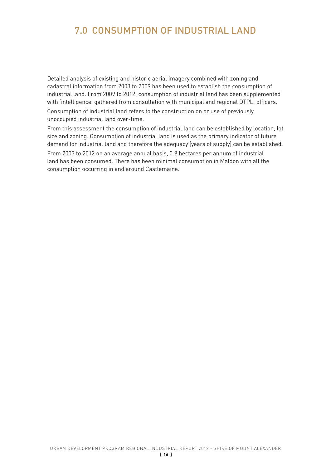# 7.0 CONSUMPTION OF INDUSTRIAL LAND

Detailed analysis of existing and historic aerial imagery combined with zoning and cadastral information from 2003 to 2009 has been used to establish the consumption of industrial land. From 2009 to 2012, consumption of industrial land has been supplemented with 'intelligence' gathered from consultation with municipal and regional DTPLI officers.

Consumption of industrial land refers to the construction on or use of previously unoccupied industrial land over-time.

From this assessment the consumption of industrial land can be established by location, lot size and zoning. Consumption of industrial land is used as the primary indicator of future demand for industrial land and therefore the adequacy (years of supply) can be established. From 2003 to 2012 on an average annual basis, 0.9 hectares per annum of industrial

land has been consumed. There has been minimal consumption in Maldon with all the consumption occurring in and around Castlemaine.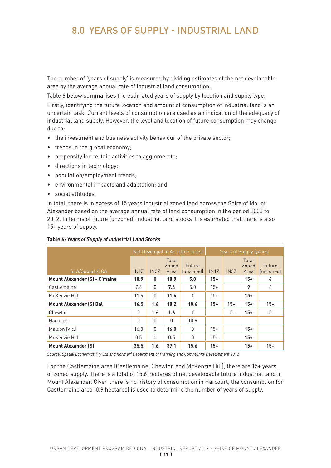# 8.0 YEARS OF SUPPLY - INDUSTRIAL LAND

The number of 'years of supply' is measured by dividing estimates of the net developable area by the average annual rate of industrial land consumption.

Table 6 below summarises the estimated years of supply by location and supply type. Firstly, identifying the future location and amount of consumption of industrial land is an uncertain task. Current levels of consumption are used as an indication of the adequacy of industrial land supply. However, the level and location of future consumption may change due to:

- the investment and business activity behaviour of the private sector;
- trends in the global economy;
- propensity for certain activities to agglomerate;
- directions in technology;
- • population/employment trends;
- • environmental impacts and adaptation; and
- • social attitudes.

In total, there is in excess of 15 years industrial zoned land across the Shire of Mount Alexander based on the average annual rate of land consumption in the period 2003 to 2012. In terms of future (unzoned) industrial land stocks it is estimated that there is also 15+ years of supply.

|                                      |                   |                   |                        | Net Developable Area (hectares)                | Years of Supply (years) |                   |                        |                     |  |  |
|--------------------------------------|-------------------|-------------------|------------------------|------------------------------------------------|-------------------------|-------------------|------------------------|---------------------|--|--|
| SLA/Suburb/LGA                       | IN <sub>1</sub> Z | IN <sub>3</sub> Z | Total<br>Zoned<br>Area | <b>Future</b><br><i><u><b>funzoned</b></u></i> | IN <sub>1</sub> Z       | IN <sub>3</sub> Z | Total<br>Zoned<br>Area | Future<br>(unzoned) |  |  |
| <b>Mount Alexander (S) - C'maine</b> | 18.9              | 0                 | 18.9                   | 5.0                                            | $15+$                   |                   | $15+$                  | 6                   |  |  |
| Castlemaine                          | 7.4               | $\mathbf{0}$      | 7.4                    | 5.0                                            | $15+$                   |                   | 9                      | 6                   |  |  |
| McKenzie Hill                        | 11.6              | $\mathbf{0}$      | 11.6                   | 0                                              | $15+$                   |                   | $15+$                  |                     |  |  |
| <b>Mount Alexander (S) Bal</b>       | 16.5              | 1.6               | 18.2                   | 10.6                                           | $15+$                   | $15+$             | $15+$                  | $15+$               |  |  |
| Chewton                              | $\mathbf{0}$      | 1.6               | 1.6                    | 0                                              |                         | $15+$             | $15+$                  | $15+$               |  |  |
| Harcourt                             | $\Omega$          | $\mathbf{0}$      | 0                      | 10.6                                           |                         |                   |                        |                     |  |  |
| Maldon (Vic.)                        | 16.0              | $\mathbf{0}$      | 16.0                   | $\mathbf{0}$                                   | $15+$                   |                   | $15+$                  |                     |  |  |
| McKenzie Hill                        | 0.5               | $\mathbf{0}$      | 0.5                    | $\mathbf{0}$                                   | $15+$                   |                   | $15+$                  |                     |  |  |
| <b>Mount Alexander (S)</b>           | 35.5              | 1.6               | 37.1                   | 15.6                                           | $15+$                   |                   | $15+$                  | $15+$               |  |  |

#### **Table 6***: Years of Supply of Industrial Land Stocks*

*Source: Spatial Economics Pty Ltd and (former) Department of Planning and Community Development 2012*

For the Castlemaine area (Castlemaine, Chewton and McKenzie Hill), there are 15+ years of zoned supply. There is a total of 15.6 hectares of net developable future industrial land in Mount Alexander. Given there is no history of consumption in Harcourt, the consumption for Castlemaine area (0.9 hectares) is used to determine the number of years of supply.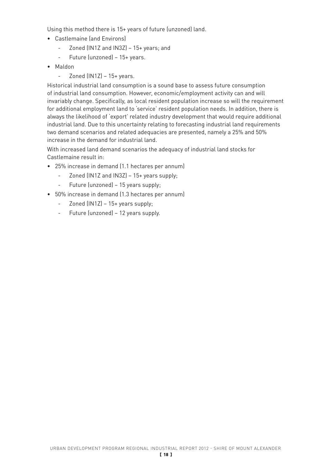Using this method there is 15+ years of future (unzoned) land.

- • Castlemaine (and Environs)
	- Zoned (IN1Z and IN3Z) 15+ years; and
	- Future (unzoned) 15+ years.
- • Maldon
	- $-$  Zoned (IN1Z)  $-$  15+ years.

Historical industrial land consumption is a sound base to assess future consumption of industrial land consumption. However, economic/employment activity can and will invariably change. Specifically, as local resident population increase so will the requirement for additional employment land to 'service' resident population needs. In addition, there is always the likelihood of 'export' related industry development that would require additional industrial land. Due to this uncertainty relating to forecasting industrial land requirements two demand scenarios and related adequacies are presented, namely a 25% and 50% increase in the demand for industrial land.

With increased land demand scenarios the adequacy of industrial land stocks for Castlemaine result in:

- • 25% increase in demand (1.1 hectares per annum)
	- Zoned (IN1Z and IN3Z) 15+ years supply;
	- Future (unzoned) 15 years supply;
- • 50% increase in demand (1.3 hectares per annum)
	- Zoned (IN1Z) 15+ years supply;
	- Future (unzoned) 12 years supply.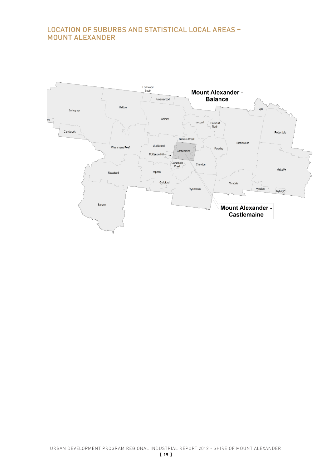# LOCATION OF SUBURBS AND STATISTICAL LOCAL AREAS – MOUNT ALEXANDER

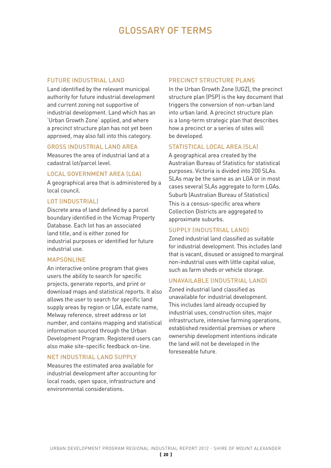# GLOSSARY OF TERMS

#### FUTURE INDUSTRIAL LAND

Land identified by the relevant municipal authority for future industrial development and current zoning not supportive of industrial development. Land which has an 'Urban Growth Zone' applied, and where a precinct structure plan has not yet been approved, may also fall into this category.

#### GROSS INDUSTRIAL LAND AREA

Measures the area of industrial land at a cadastral lot/parcel level.

#### LOCAL GOVERNMENT AREA (LGA)

A geographical area that is administered by a local council.

#### LOT (INDUSTRIAL)

Discrete area of land defined by a parcel boundary identified in the Vicmap Property Database. Each lot has an associated land title, and is either zoned for industrial purposes or identified for future industrial use.

#### **MAPSONLINE**

An interactive online program that gives users the ability to search for specific projects, generate reports, and print or download maps and statistical reports. It also allows the user to search for specific land supply areas by region or LGA, estate name, Melway reference, street address or lot number, and contains mapping and statistical information sourced through the Urban Development Program. Registered users can also make site-specific feedback on-line.

#### NET INDUSTRIAL LAND SUPPLY

Measures the estimated area available for industrial development after accounting for local roads, open space, infrastructure and environmental considerations.

#### PRECINCT STRUCTURE PLANS

In the Urban Growth Zone (UGZ), the precinct structure plan (PSP) is the key document that triggers the conversion of non-urban land into urban land. A precinct structure plan is a long-term strategic plan that describes how a precinct or a series of sites will be developed.

#### STATISTICAL LOCAL AREA (SLA)

A geographical area created by the Australian Bureau of Statistics for statistical purposes. Victoria is divided into 200 SLAs. SLAs may be the same as an LGA or in most cases several SLAs aggregate to form LGAs. Suburb (Australian Bureau of Statistics)

This is a census-specific area where Collection Districts are aggregated to approximate suburbs.

#### SUPPLY (INDUSTRIAL LAND)

Zoned industrial land classified as suitable for industrial development. This includes land that is vacant, disused or assigned to marginal non-industrial uses with little capital value, such as farm sheds or vehicle storage.

#### UNAVAILABLE (INDUSTRIAL LAND)

Zoned industrial land classified as unavailable for industrial development. This includes land already occupied by industrial uses, construction sites, major infrastructure, intensive farming operations, established residential premises or where ownership development intentions indicate the land will not be developed in the foreseeable future.